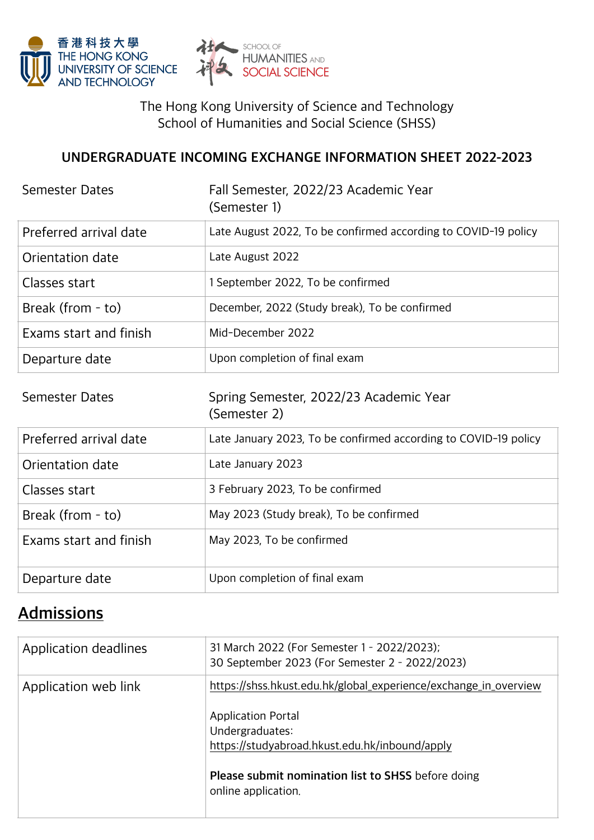



The Hong Kong University of Science and Technology School of Humanities and Social Science (SHSS)

#### **UNDERGRADUATE INCOMING EXCHANGE INFORMATION SHEET 2022-2023**

| <b>Semester Dates</b>  | Fall Semester, 2022/23 Academic Year<br>(Semester 1)            |
|------------------------|-----------------------------------------------------------------|
| Preferred arrival date | Late August 2022, To be confirmed according to COVID-19 policy  |
| Orientation date       | Late August 2022                                                |
| Classes start          | 1 September 2022, To be confirmed                               |
| Break (from - to)      | December, 2022 (Study break), To be confirmed                   |
| Exams start and finish | Mid-December 2022                                               |
| Departure date         | Upon completion of final exam                                   |
|                        |                                                                 |
| <b>Semester Dates</b>  | Spring Semester, 2022/23 Academic Year<br>(Semester 2)          |
| Preferred arrival date | Late January 2023, To be confirmed according to COVID-19 policy |
| Orientation date       | Late January 2023                                               |
| Classes start          | 3 February 2023, To be confirmed                                |
| Break (from - to)      | May 2023 (Study break), To be confirmed                         |
| Exams start and finish | May 2023, To be confirmed                                       |

## **Admissions**

| Application deadlines | 31 March 2022 (For Semester 1 - 2022/2023);<br>30 September 2023 (For Semester 2 - 2022/2023)  |
|-----------------------|------------------------------------------------------------------------------------------------|
| Application web link  | https://shss.hkust.edu.hk/global_experience/exchange_in_overview                               |
|                       | <b>Application Portal</b><br>Undergraduates:<br>https://studyabroad.hkust.edu.hk/inbound/apply |
|                       | Please submit nomination list to SHSS before doing<br>online application.                      |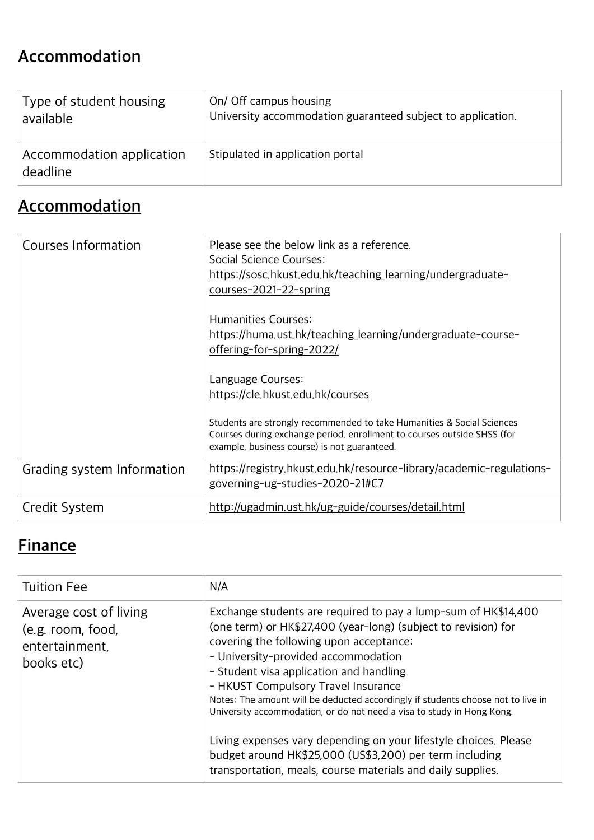# **Accommodation**

| Type of student housing               | On/ Off campus housing                                      |
|---------------------------------------|-------------------------------------------------------------|
| available                             | University accommodation guaranteed subject to application. |
| Accommodation application<br>deadline | Stipulated in application portal                            |

# **Accommodation**

| Courses Information        | Please see the below link as a reference.<br>Social Science Courses:<br>https://sosc.hkust.edu.hk/teaching_learning/undergraduate-<br>courses-2021-22-spring<br>Humanities Courses:<br>https://huma.ust.hk/teaching_learning/undergraduate-course-<br>offering-for-spring-2022/<br>Language Courses:<br>https://cle.hkust.edu.hk/courses<br>Students are strongly recommended to take Humanities & Social Sciences |
|----------------------------|--------------------------------------------------------------------------------------------------------------------------------------------------------------------------------------------------------------------------------------------------------------------------------------------------------------------------------------------------------------------------------------------------------------------|
|                            | Courses during exchange period, enrollment to courses outside SHSS (for<br>example, business course) is not guaranteed.                                                                                                                                                                                                                                                                                            |
| Grading system Information | https://registry.hkust.edu.hk/resource-library/academic-regulations-<br>governing-ug-studies-2020-21#C7                                                                                                                                                                                                                                                                                                            |
| Credit System              | http://ugadmin.ust.hk/ug-guide/courses/detail.html                                                                                                                                                                                                                                                                                                                                                                 |

# **Finance**

| <b>Tuition Fee</b>                                                          | N/A                                                                                                                                                                                                                                                                                                                                                                                                                                                                |
|-----------------------------------------------------------------------------|--------------------------------------------------------------------------------------------------------------------------------------------------------------------------------------------------------------------------------------------------------------------------------------------------------------------------------------------------------------------------------------------------------------------------------------------------------------------|
| Average cost of living<br>(e.g. room, food,<br>entertainment,<br>books etc) | Exchange students are required to pay a lump-sum of HK\$14,400<br>(one term) or HK\$27,400 (year-long) (subject to revision) for<br>covering the following upon acceptance:<br>- University-provided accommodation<br>- Student visa application and handling<br>- HKUST Compulsory Travel Insurance<br>Notes: The amount will be deducted accordingly if students choose not to live in<br>University accommodation, or do not need a visa to study in Hong Kong. |
|                                                                             | Living expenses vary depending on your lifestyle choices. Please<br>budget around HK\$25,000 (US\$3,200) per term including<br>transportation, meals, course materials and daily supplies.                                                                                                                                                                                                                                                                         |